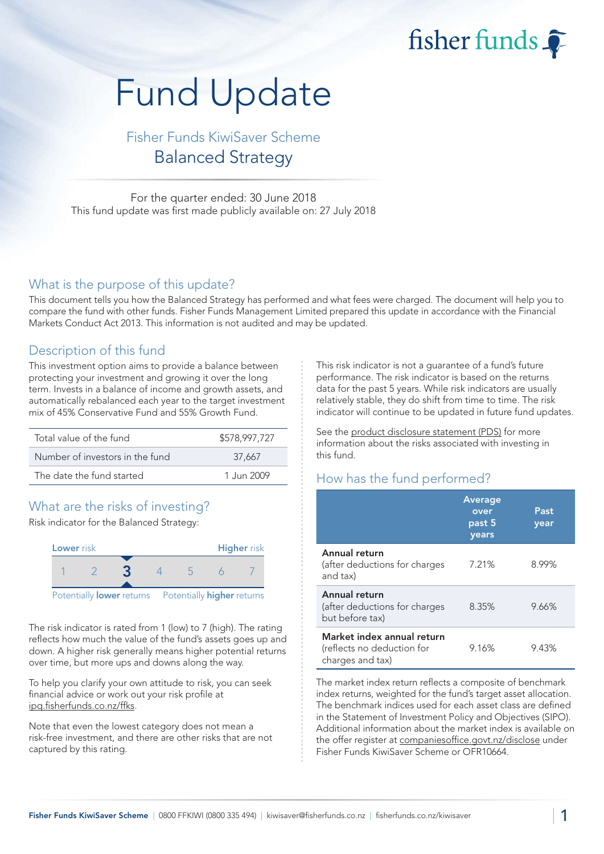fisher funds

# Fund Update

## Fisher Funds KiwiSaver Scheme Balanced Strategy

For the quarter ended: 30 June 2018 This fund update was first made publicly available on: 27 July 2018

#### What is the purpose of this update?

This document tells you how the Balanced Strategy has performed and what fees were charged. The document will help you to compare the fund with other funds. Fisher Funds Management Limited prepared this update in accordance with the Financial Markets Conduct Act 2013. This information is not audited and may be updated.

## Description of this fund

This investment option aims to provide a balance between protecting your investment and growing it over the long term. Invests in a balance of income and growth assets, and automatically rebalanced each year to the target investment mix of 45% Conservative Fund and 55% Growth Fund.

| Total value of the fund         | \$578,997,727 |  |  |
|---------------------------------|---------------|--|--|
| Number of investors in the fund | 37.667        |  |  |
| The date the fund started       | 1.Jun 2009    |  |  |

## What are the risks of investing?

Risk indicator for the Balanced Strategy:



The risk indicator is rated from 1 (low) to 7 (high). The rating reflects how much the value of the fund's assets goes up and down. A higher risk generally means higher potential returns over time, but more ups and downs along the way.

To help you clarify your own attitude to risk, you can seek financial advice or work out your risk profile at [ipq.fisherfunds.co.nz/ffks.](https://ipq.fisherfunds.co.nz/ffks)

Note that even the lowest category does not mean a risk-free investment, and there are other risks that are not captured by this rating.

This risk indicator is not a guarantee of a fund's future performance. The risk indicator is based on the returns data for the past 5 years. While risk indicators are usually relatively stable, they do shift from time to time. The risk indicator will continue to be updated in future fund updates.

See the [product disclosure statement \(PDS\)](https://fisherfunds.co.nz/assets/PDS/Fisher-Funds-KiwiSaver-Scheme-PDS.pdf) for more information about the risks associated with investing in this fund.

## How has the fund performed?

|                                                                              | <b>Average</b><br>over<br>past 5<br>years | Past<br>year |
|------------------------------------------------------------------------------|-------------------------------------------|--------------|
| Annual return<br>(after deductions for charges<br>and tax)                   | 7.21%                                     | 8.99%        |
| Annual return<br>(after deductions for charges<br>but before tax)            | 8.35%                                     | 9.66%        |
| Market index annual return<br>(reflects no deduction for<br>charges and tax) | 9.16%                                     | 9.43%        |

The market index return reflects a composite of benchmark index returns, weighted for the fund's target asset allocation. The benchmark indices used for each asset class are defined in the Statement of Investment Policy and Objectives (SIPO). Additional information about the market index is available on the offer register at [companiesoffice.govt.nz/disclose](http://companiesoffice.govt.nz/disclose) under Fisher Funds KiwiSaver Scheme or OFR10664.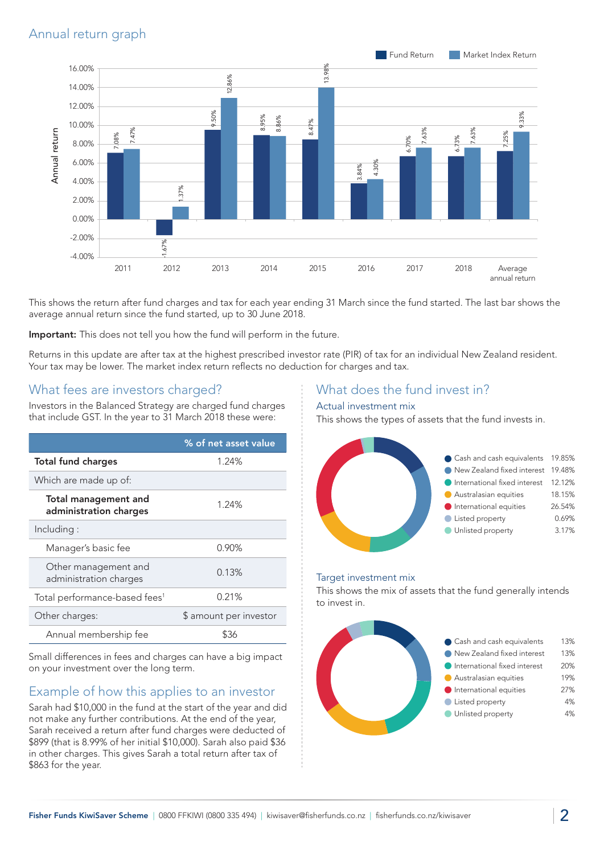## Annual return graph



This shows the return after fund charges and tax for each year ending 31 March since the fund started. The last bar shows the average annual return since the fund started, up to 30 June 2018.

Important: This does not tell you how the fund will perform in the future.

Returns in this update are after tax at the highest prescribed investor rate (PIR) of tax for an individual New Zealand resident. Your tax may be lower. The market index return reflects no deduction for charges and tax.

#### What fees are investors charged?

Investors in the Balanced Strategy are charged fund charges that include GST. In the year to 31 March 2018 these were:

|                                                | % of net asset value   |
|------------------------------------------------|------------------------|
| <b>Total fund charges</b>                      | 1.24%                  |
| Which are made up of:                          |                        |
| Total management and<br>administration charges | 1.24%                  |
| Including:                                     |                        |
| Manager's basic fee                            | 0.90%                  |
| Other management and<br>administration charges | 0.13%                  |
| Total performance-based fees <sup>1</sup>      | 0.21%                  |
| Other charges:                                 | \$ amount per investor |
| Annual membership fee                          |                        |

Small differences in fees and charges can have a big impact on your investment over the long term.

## Example of how this applies to an investor

Sarah had \$10,000 in the fund at the start of the year and did not make any further contributions. At the end of the year, Sarah received a return after fund charges were deducted of \$899 (that is 8.99% of her initial \$10,000). Sarah also paid \$36 in other charges. This gives Sarah a total return after tax of \$863 for the year.

#### What does the fund invest in?

#### Actual investment mix

This shows the types of assets that the fund invests in.



#### Target investment mix

This shows the mix of assets that the fund generally intends to invest in.